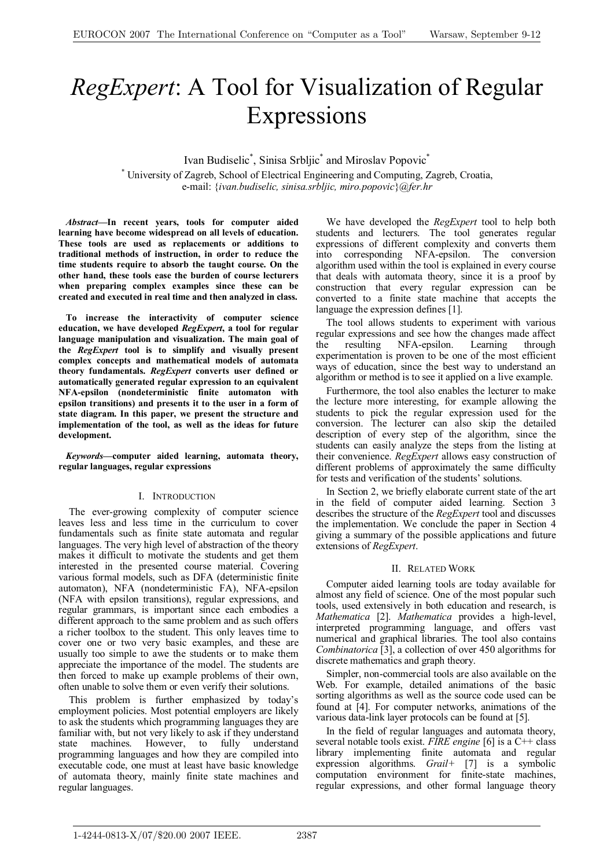# *RegExpert*: A Tool for Visualization of Regular Expressions

Ivan Budiselic<sup>\*</sup>, Sinisa Srbljic<sup>\*</sup> and Miroslav Popovic<sup>\*</sup>

\* University of Zagreb, School of Electrical Engineering and Computing, Zagreb, Croatia, e-mail: {*ivan.budiselic, sinisa.srbljic, miro.popovic*}*@fer.hr*

*Abstract***—In recent years, tools for computer aided learning have become widespread on all levels of education. These tools are used as replacements or additions to traditional methods of instruction, in order to reduce the time students require to absorb the taught course. On the other hand, these tools ease the burden of course lecturers when preparing complex examples since these can be created and executed in real time and then analyzed in class.** 

**To increase the interactivity of computer science education, we have developed** *RegExpert***, a tool for regular language manipulation and visualization. The main goal of the** *RegExpert* **tool is to simplify and visually present complex concepts and mathematical models of automata theory fundamentals.** *RegExpert* **converts user defined or automatically generated regular expression to an equivalent NFA-epsilon (nondeterministic finite automaton with epsilon transitions) and presents it to the user in a form of state diagram. In this paper, we present the structure and implementation of the tool, as well as the ideas for future development.** 

*Keywords***—computer aided learning, automata theory, regular languages, regular expressions** 

# I. INTRODUCTION

The ever-growing complexity of computer science leaves less and less time in the curriculum to cover fundamentals such as finite state automata and regular languages. The very high level of abstraction of the theory makes it difficult to motivate the students and get them interested in the presented course material. Covering various formal models, such as DFA (deterministic finite automaton), NFA (nondeterministic FA), NFA-epsilon (NFA with epsilon transitions), regular expressions, and regular grammars, is important since each embodies a different approach to the same problem and as such offers a richer toolbox to the student. This only leaves time to cover one or two very basic examples, and these are usually too simple to awe the students or to make them appreciate the importance of the model. The students are then forced to make up example problems of their own, often unable to solve them or even verify their solutions.

This problem is further emphasized by today's employment policies. Most potential employers are likely to ask the students which programming languages they are familiar with, but not very likely to ask if they understand state machines. However, to fully understand programming languages and how they are compiled into executable code, one must at least have basic knowledge of automata theory, mainly finite state machines and regular languages.

We have developed the *RegExpert* tool to help both students and lecturers. The tool generates regular expressions of different complexity and converts them into corresponding NFA-epsilon. The conversion algorithm used within the tool is explained in every course that deals with automata theory, since it is a proof by construction that every regular expression can be converted to a finite state machine that accepts the language the expression defines [1].

The tool allows students to experiment with various regular expressions and see how the changes made affect the resulting NFA-epsilon. Learning through experimentation is proven to be one of the most efficient ways of education, since the best way to understand an algorithm or method is to see it applied on a live example.

Furthermore, the tool also enables the lecturer to make the lecture more interesting, for example allowing the students to pick the regular expression used for the conversion. The lecturer can also skip the detailed description of every step of the algorithm, since the students can easily analyze the steps from the listing at their convenience. *RegExpert* allows easy construction of different problems of approximately the same difficulty for tests and verification of the students' solutions.

In Section 2, we briefly elaborate current state of the art in the field of computer aided learning. Section 3 describes the structure of the *RegExpert* tool and discusses the implementation. We conclude the paper in Section 4 giving a summary of the possible applications and future extensions of *RegExpert*.

# II. RELATED WORK

Computer aided learning tools are today available for almost any field of science. One of the most popular such tools, used extensively in both education and research, is *Mathematica* [2]. *Mathematica* provides a high-level, interpreted programming language, and offers vast numerical and graphical libraries. The tool also contains *Combinatorica* [3], a collection of over 450 algorithms for discrete mathematics and graph theory.

Simpler, non-commercial tools are also available on the Web. For example, detailed animations of the basic sorting algorithms as well as the source code used can be found at [4]. For computer networks, animations of the various data-link layer protocols can be found at [5].

In the field of regular languages and automata theory, several notable tools exist. *FIRE engine* [6] is a C++ class library implementing finite automata and regular expression algorithms. *Grail+* [7] is a symbolic computation environment for finite-state machines, regular expressions, and other formal language theory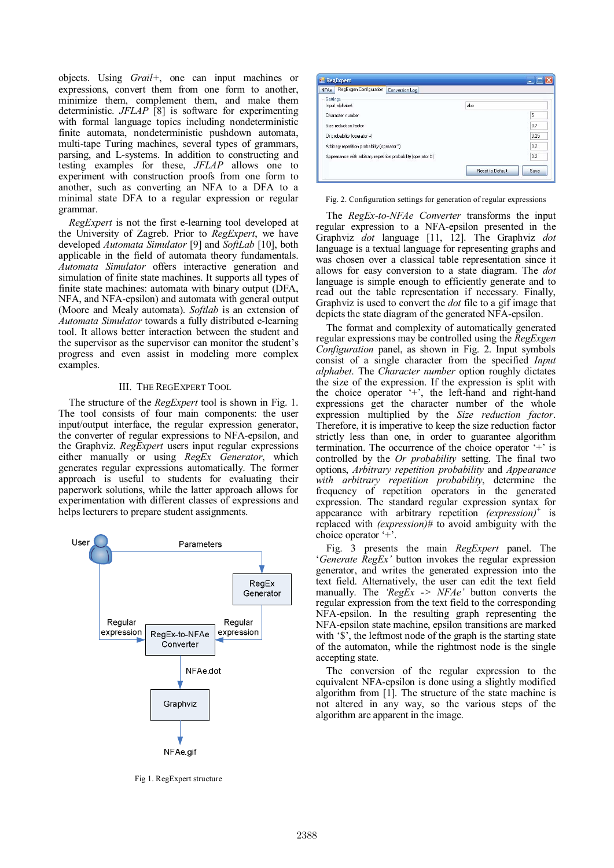objects. Using *Grail+*, one can input machines or expressions, convert them from one form to another, minimize them, complement them, and make them deterministic. *JFLAP* [8] is software for experimenting with formal language topics including nondeterministic finite automata, nondeterministic pushdown automata, multi-tape Turing machines, several types of grammars, parsing, and L-systems. In addition to constructing and testing examples for these, *JFLAP* allows one to experiment with construction proofs from one form to another, such as converting an NFA to a DFA to a minimal state DFA to a regular expression or regular grammar.

*RegExpert* is not the first e-learning tool developed at the University of Zagreb. Prior to *RegExpert*, we have developed *Automata Simulator* [9] and *SoftLab* [10], both applicable in the field of automata theory fundamentals. *Automata Simulator* offers interactive generation and simulation of finite state machines. It supports all types of finite state machines: automata with binary output (DFA, NFA, and NFA-epsilon) and automata with general output (Moore and Mealy automata). *Softlab* is an extension of *Automata Simulator* towards a fully distributed e-learning tool. It allows better interaction between the student and the supervisor as the supervisor can monitor the student's progress and even assist in modeling more complex examples.

## III. THE REGEXPERT TOOL

The structure of the *RegExpert* tool is shown in Fig. 1. The tool consists of four main components: the user input/output interface, the regular expression generator, the converter of regular expressions to NFA-epsilon, and the Graphviz. *RegExpert* users input regular expressions either manually or using *RegEx Generator*, which generates regular expressions automatically. The former approach is useful to students for evaluating their paperwork solutions, while the latter approach allows for experimentation with different classes of expressions and helps lecturers to prepare student assignments.



Fig 1. RegExpert structure



Fig. 2. Configuration settings for generation of regular expressions

The *RegEx-to-NFAe Converter* transforms the input regular expression to a NFA-epsilon presented in the Graphviz *dot* language [11, 12]. The Graphviz *dot* language is a textual language for representing graphs and was chosen over a classical table representation since it allows for easy conversion to a state diagram. The *dot* language is simple enough to efficiently generate and to read out the table representation if necessary. Finally, Graphviz is used to convert the *dot* file to a gif image that depicts the state diagram of the generated NFA-epsilon.

The format and complexity of automatically generated regular expressions may be controlled using the *RegExgen Configuration* panel, as shown in Fig. 2. Input symbols consist of a single character from the specified *Input alphabet*. The *Character number* option roughly dictates the size of the expression. If the expression is split with the choice operator '+', the left-hand and right-hand expressions get the character number of the whole expression multiplied by the *Size reduction factor*. Therefore, it is imperative to keep the size reduction factor strictly less than one, in order to guarantee algorithm termination. The occurrence of the choice operator '+' is controlled by the *Or probability* setting. The final two options, *Arbitrary repetition probability* and *Appearance with arbitrary repetition probability*, determine the frequency of repetition operators in the generated expression. The standard regular expression syntax for appearance with arbitrary repetition *(expression)+* is replaced with *(expression)#* to avoid ambiguity with the choice operator '+'.

Fig. 3 presents the main *RegExpert* panel. The '*Generate RegEx'* button invokes the regular expression generator, and writes the generated expression into the text field. Alternatively, the user can edit the text field manually. The *'RegEx -> NFAe'* button converts the regular expression from the text field to the corresponding NFA-epsilon. In the resulting graph representing the NFA-epsilon state machine, epsilon transitions are marked with '\$<sup>'</sup>, the leftmost node of the graph is the starting state of the automaton, while the rightmost node is the single accepting state.

The conversion of the regular expression to the equivalent NFA-epsilon is done using a slightly modified algorithm from [1]. The structure of the state machine is not altered in any way, so the various steps of the algorithm are apparent in the image.